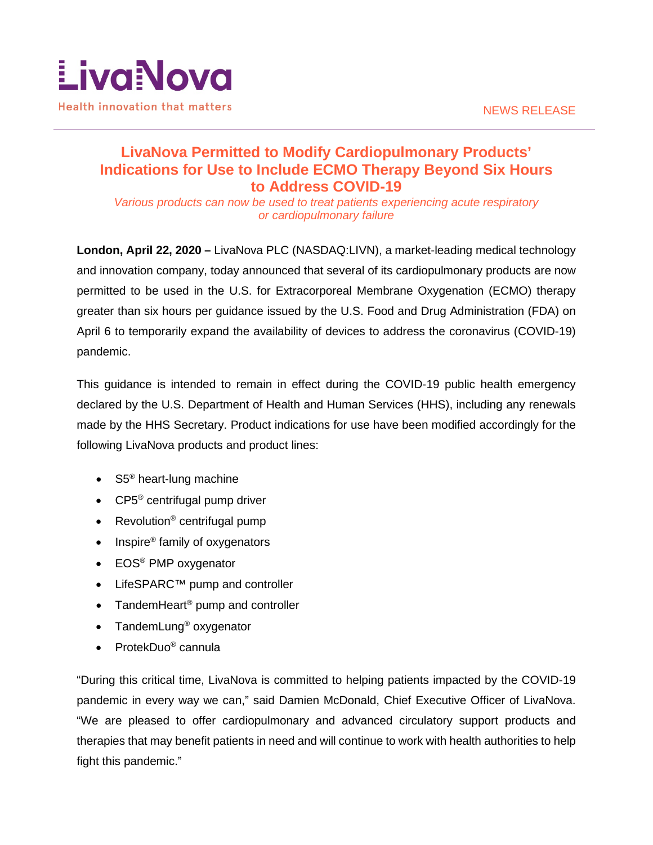

## **LivaNova Permitted to Modify Cardiopulmonary Products' Indications for Use to Include ECMO Therapy Beyond Six Hours to Address COVID-19**

*Various products can now be used to treat patients experiencing acute respiratory or cardiopulmonary failure*

**London, April 22, 2020 –** LivaNova PLC (NASDAQ:LIVN), a market-leading medical technology and innovation company, today announced that several of its cardiopulmonary products are now permitted to be used in the U.S. for Extracorporeal Membrane Oxygenation (ECMO) therapy greater than six hours per guidance issued by the U.S. Food and Drug Administration (FDA) on April 6 to temporarily expand the availability of devices to address the coronavirus (COVID-19) pandemic.

This guidance is intended to remain in effect during the COVID-19 public health emergency declared by the U.S. Department of Health and Human Services (HHS), including any renewals made by the HHS Secretary. Product indications for use have been modified accordingly for the following LivaNova products and product lines:

- $S5^{\circ}$  heart-lung machine
- CP5<sup>®</sup> centrifugal pump driver
- Revolution<sup>®</sup> centrifugal pump
- Inspire<sup>®</sup> family of oxygenators
- EOS<sup>®</sup> PMP oxygenator
- LifeSPARC™ pump and controller
- TandemHeart<sup>®</sup> pump and controller
- TandemLung<sup>®</sup> oxygenator
- ProtekDuo<sup>®</sup> cannula

"During this critical time, LivaNova is committed to helping patients impacted by the COVID-19 pandemic in every way we can," said Damien McDonald, Chief Executive Officer of LivaNova. "We are pleased to offer cardiopulmonary and advanced circulatory support products and therapies that may benefit patients in need and will continue to work with health authorities to help fight this pandemic."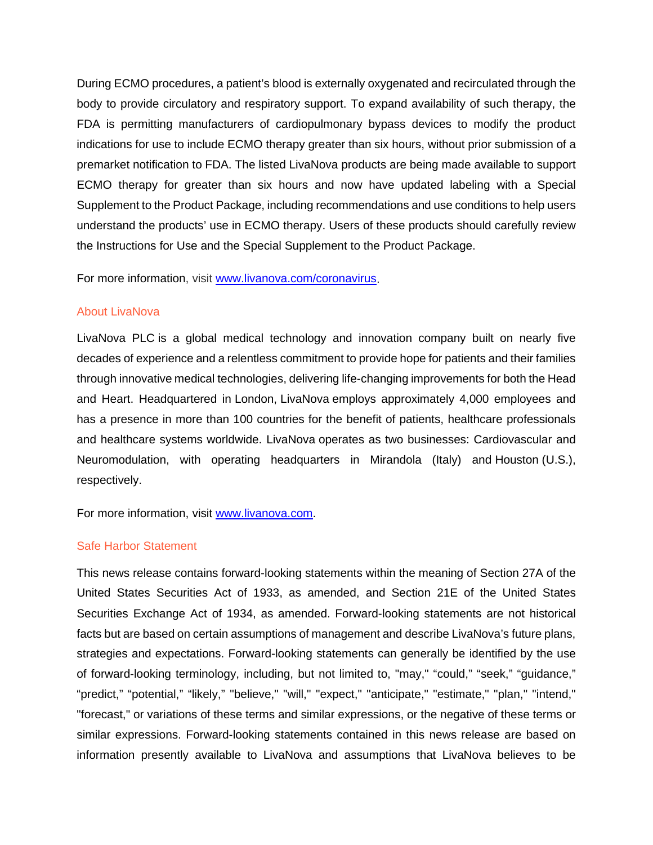During ECMO procedures, a patient's blood is externally oxygenated and recirculated through the body to provide circulatory and respiratory support. To expand availability of such therapy, the FDA is permitting manufacturers of cardiopulmonary bypass devices to modify the product indications for use to include ECMO therapy greater than six hours, without prior submission of a premarket notification to FDA. The listed LivaNova products are being made available to support ECMO therapy for greater than six hours and now have updated labeling with a Special Supplement to the Product Package, including recommendations and use conditions to help users understand the products' use in ECMO therapy. Users of these products should carefully review the Instructions for Use and the Special Supplement to the Product Package.

For more information, visit [www.livanova.com/coronavirus.](http://www.livanova.com/coronavirus)

## About LivaNova

LivaNova PLC is a global medical technology and innovation company built on nearly five decades of experience and a relentless commitment to provide hope for patients and their families through innovative medical technologies, delivering life-changing improvements for both the Head and Heart. Headquartered in London, LivaNova employs approximately 4,000 employees and has a presence in more than 100 countries for the benefit of patients, healthcare professionals and healthcare systems worldwide. LivaNova operates as two businesses: Cardiovascular and Neuromodulation, with operating headquarters in Mirandola (Italy) and Houston (U.S.), respectively.

For more information, visit [www.livanova.com.](http://www.livanova.com/)

## Safe Harbor Statement

This news release contains forward-looking statements within the meaning of Section 27A of the United States Securities Act of 1933, as amended, and Section 21E of the United States Securities Exchange Act of 1934, as amended. Forward-looking statements are not historical facts but are based on certain assumptions of management and describe LivaNova's future plans, strategies and expectations. Forward-looking statements can generally be identified by the use of forward-looking terminology, including, but not limited to, "may," "could," "seek," "guidance," "predict," "potential," "likely," "believe," "will," "expect," "anticipate," "estimate," "plan," "intend," "forecast," or variations of these terms and similar expressions, or the negative of these terms or similar expressions. Forward-looking statements contained in this news release are based on information presently available to LivaNova and assumptions that LivaNova believes to be